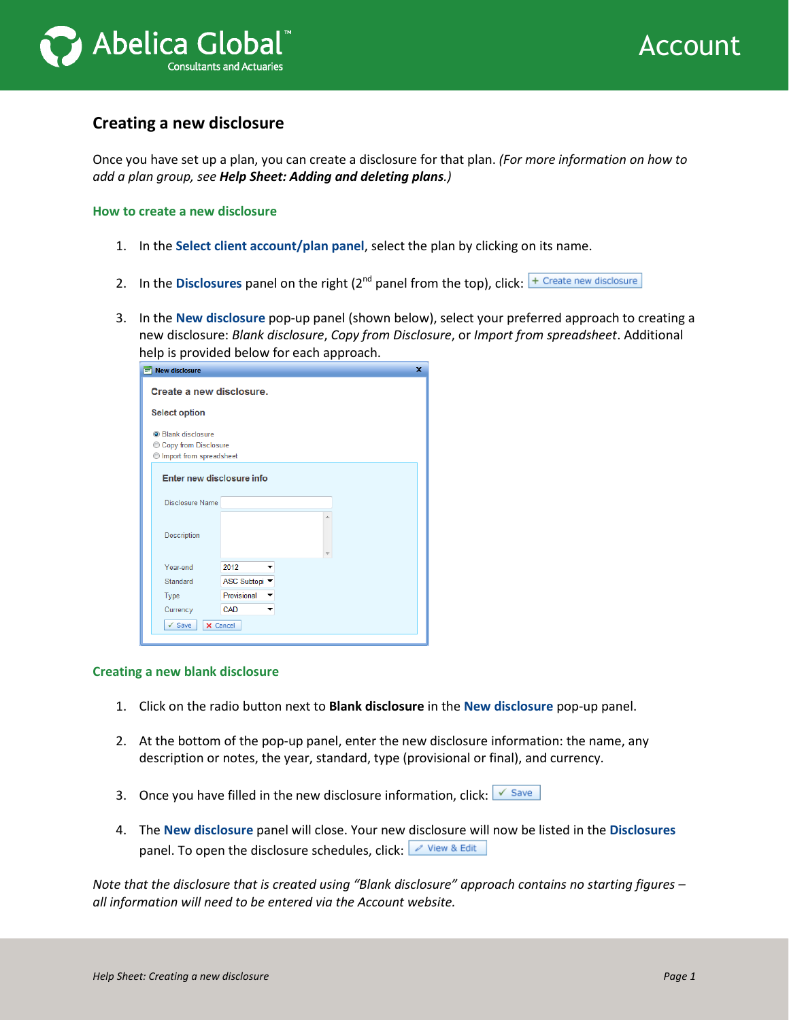

## **Creating a new disclosure**

Once you have set up a plan, you can create a disclosure for that plan. *(For more information on how to add a plan group, see Help Sheet: Adding and deleting plans.)*

**How to create a new disclosure**

- 1. In the **Select client account/plan panel**, select the plan by clicking on its name.
- 2. In the **Disclosures** panel on the right  $(2^{nd}$  panel from the top), click:  $\frac{1}{2}$  Create new disclosure
- 3. In the **New disclosure** pop-up panel (shown below), select your preferred approach to creating a new disclosure: *Blank disclosure*, *Copy from Disclosure*, or *Import from spreadsheet*. Additional help is provided below for each approach.

| ×<br>$\equiv$ New disclosure     |               |  |  |  |  |  |
|----------------------------------|---------------|--|--|--|--|--|
| Create a new disclosure.         |               |  |  |  |  |  |
| <b>Select option</b>             |               |  |  |  |  |  |
| <b>O</b> Blank disclosure        |               |  |  |  |  |  |
| <b>Copy from Disclosure</b><br>⊙ |               |  |  |  |  |  |
| Import from spreadsheet          |               |  |  |  |  |  |
| Enter new disclosure info        |               |  |  |  |  |  |
| Disclosure Name                  |               |  |  |  |  |  |
| Description                      | Ä             |  |  |  |  |  |
| Year-end                         | 2012          |  |  |  |  |  |
| Standard                         | ASC Subtopi ▼ |  |  |  |  |  |
| Type                             | Provisional   |  |  |  |  |  |
| Currency                         | CAD           |  |  |  |  |  |
| $\checkmark$ Save<br>X Cancel    |               |  |  |  |  |  |

## **Creating a new blank disclosure**

- 1. Click on the radio button next to **Blank disclosure** in the **New disclosure** pop-up panel.
- 2. At the bottom of the pop-up panel, enter the new disclosure information: the name, any description or notes, the year, standard, type (provisional or final), and currency.
- 3. Once you have filled in the new disclosure information, click:  $\sqrt{s_{\text{ave}}}$
- 4. The **New disclosure** panel will close. Your new disclosure will now be listed in the **Disclosures** panel. To open the disclosure schedules, click: View & Edit

*Note that the disclosure that is created using "Blank disclosure" approach contains no starting figures – all information will need to be entered via the Account website.*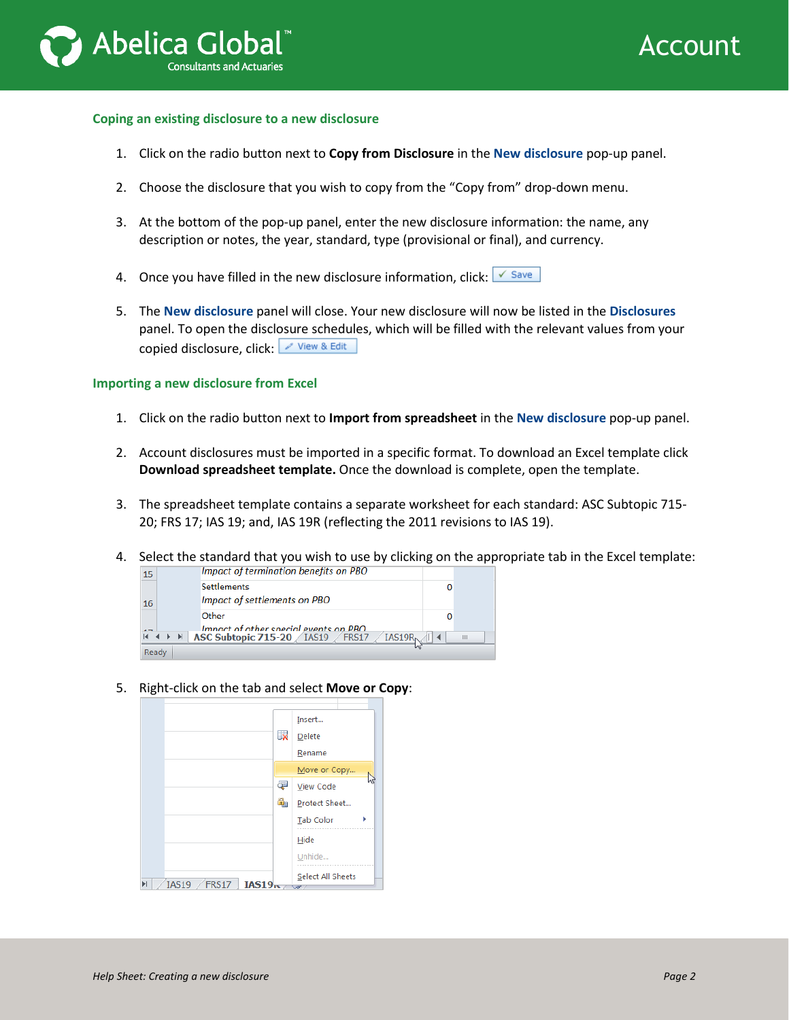



## **Coping an existing disclosure to a new disclosure**

- 1. Click on the radio button next to **Copy from Disclosure** in the **New disclosure** pop-up panel.
- 2. Choose the disclosure that you wish to copy from the "Copy from" drop-down menu.
- 3. At the bottom of the pop-up panel, enter the new disclosure information: the name, any description or notes, the year, standard, type (provisional or final), and currency.
- 4. Once you have filled in the new disclosure information, click:  $\sqrt{s_{\text{ave}}}$
- 5. The **New disclosure** panel will close. Your new disclosure will now be listed in the **Disclosures** panel. To open the disclosure schedules, which will be filled with the relevant values from your copied disclosure, click: View & Edit

## **Importing a new disclosure from Excel**

- 1. Click on the radio button next to **Import from spreadsheet** in the **New disclosure** pop-up panel.
- 2. Account disclosures must be imported in a specific format. To download an Excel template click **Download spreadsheet template.** Once the download is complete, open the template.
- 3. The spreadsheet template contains a separate worksheet for each standard: ASC Subtopic 715- 20; FRS 17; IAS 19; and, IAS 19R (reflecting the 2011 revisions to IAS 19).
- 4. Select the standard that you wish to use by clicking on the appropriate tab in the Excel template:



5. Right-click on the tab and select **Move or Copy**:

|                                        |                         | Insert                   |
|----------------------------------------|-------------------------|--------------------------|
|                                        | $\mathbb{R}$            | Delete                   |
|                                        |                         | Rename                   |
|                                        | Move or Copy            |                          |
|                                        | Ę                       | <b>View Code</b>         |
|                                        | $\mathbf{r}_{\text{H}}$ | Protect Sheet            |
|                                        |                         | <b>Tab Color</b><br>ь    |
|                                        |                         | Hide                     |
|                                        |                         | Unhide                   |
| $FRS17$ $IAS19rs$<br><b>IAS19</b><br>Ы |                         | Select All Sheets<br>ುರ್ |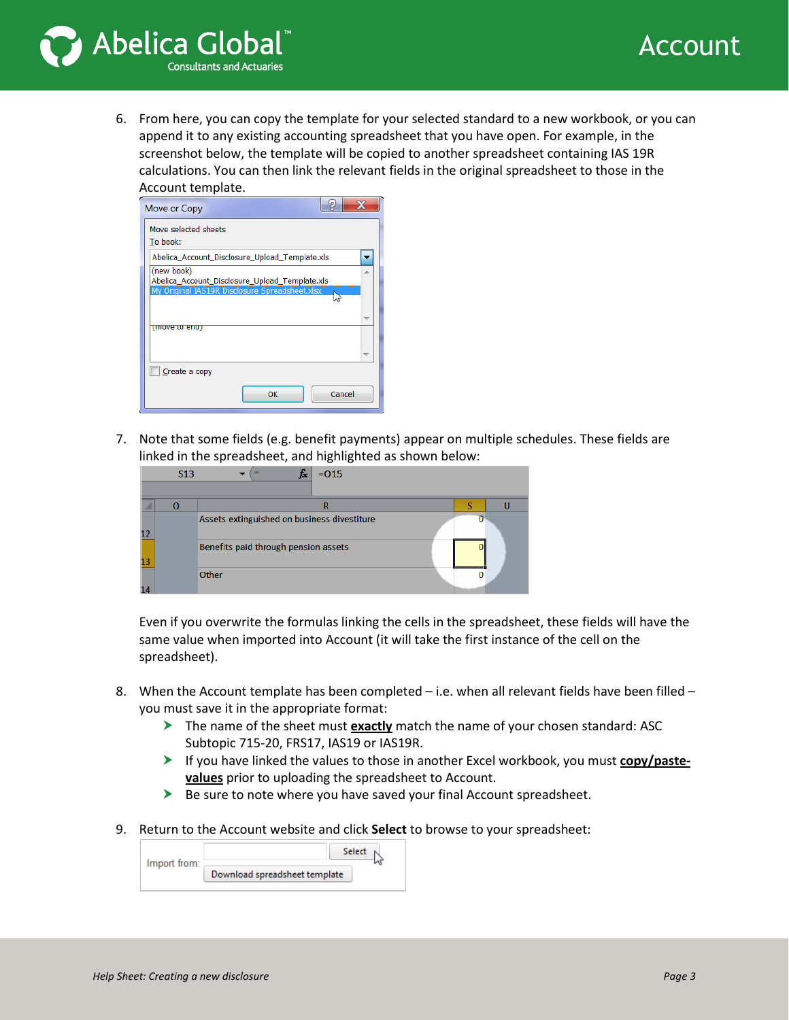



6. From here, you can copy the template for your selected standard to a new workbook, or you can append it to any existing accounting spreadsheet that you have open. For example, in the screenshot below, the template will be copied to another spreadsheet containing IAS 19R calculations. You can then link the relevant fields in the original spreadsheet to those in the Account template.

| φ.<br>Move or Copy                                                                                             |  |
|----------------------------------------------------------------------------------------------------------------|--|
| Move selected sheets<br>To book:                                                                               |  |
| Abelica Account Disclosure Upload Template.xls                                                                 |  |
| (new book)<br>Abelica_Account_Disclosure_Upload_Template.xls<br>My Original IAS19R Disclosure Spreadsheet.xlsx |  |
|                                                                                                                |  |
| (move to ena)                                                                                                  |  |
| Create a copy                                                                                                  |  |
| Cancel<br>OK                                                                                                   |  |

7. Note that some fields (e.g. benefit payments) appear on multiple schedules. These fields are linked in the spreadsheet, and highlighted as shown below:

|    | <b>S13</b> | $=015$                                      |  |
|----|------------|---------------------------------------------|--|
|    |            |                                             |  |
| 12 |            | Assets extinguished on business divestiture |  |
| 13 |            | Benefits paid through pension assets        |  |
|    |            | Other                                       |  |

Even if you overwrite the formulas linking the cells in the spreadsheet, these fields will have the same value when imported into Account (it will take the first instance of the cell on the spreadsheet).

- 8. When the Account template has been completed i.e. when all relevant fields have been filled you must save it in the appropriate format:
	- The name of the sheet must **exactly** match the name of your chosen standard: ASC Subtopic 715-20, FRS17, IAS19 or IAS19R.
	- If you have linked the values to those in another Excel workbook, you must **copy/pastevalues** prior to uploading the spreadsheet to Account.
	- $\triangleright$  Be sure to note where you have saved your final Account spreadsheet.
- 9. Return to the Account website and click **Select** to browse to your spreadsheet:

| Import from: |                               | Select |  |
|--------------|-------------------------------|--------|--|
|              | Download spreadsheet template |        |  |